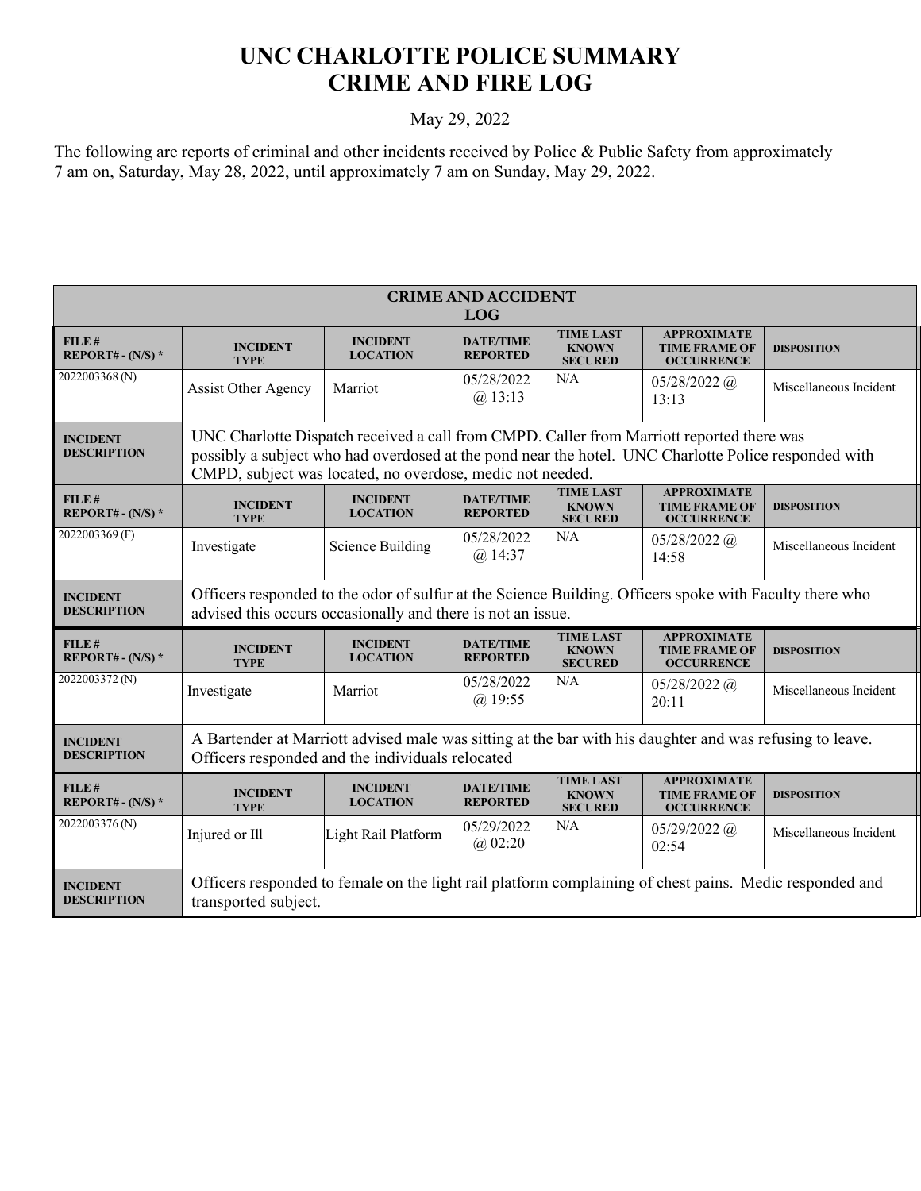## **UNC CHARLOTTE POLICE SUMMARY CRIME AND FIRE LOG**

## May 29, 2022

The following are reports of criminal and other incidents received by Police & Public Safety from approximately 7 am on, Saturday, May 28, 2022, until approximately 7 am on Sunday, May 29, 2022.

| <b>CRIME AND ACCIDENT</b><br><b>LOG</b> |                                                                                                                                                                                                                                                                |                                    |                                     |                                                    |                                                                 |                        |  |  |
|-----------------------------------------|----------------------------------------------------------------------------------------------------------------------------------------------------------------------------------------------------------------------------------------------------------------|------------------------------------|-------------------------------------|----------------------------------------------------|-----------------------------------------------------------------|------------------------|--|--|
| FILE#<br>REPORT# - $(N/S)$ *            | <b>INCIDENT</b><br><b>TYPE</b>                                                                                                                                                                                                                                 | <b>INCIDENT</b><br><b>LOCATION</b> | <b>DATE/TIME</b><br><b>REPORTED</b> | <b>TIME LAST</b><br><b>KNOWN</b><br><b>SECURED</b> | <b>APPROXIMATE</b><br><b>TIME FRAME OF</b><br><b>OCCURRENCE</b> | <b>DISPOSITION</b>     |  |  |
| 2022003368(N)                           | <b>Assist Other Agency</b>                                                                                                                                                                                                                                     | Marriot                            | 05/28/2022<br>$(a)$ 13:13           | N/A                                                | $05/28/2022$ (a)<br>13:13                                       | Miscellaneous Incident |  |  |
| <b>INCIDENT</b><br><b>DESCRIPTION</b>   | UNC Charlotte Dispatch received a call from CMPD. Caller from Marriott reported there was<br>possibly a subject who had overdosed at the pond near the hotel. UNC Charlotte Police responded with<br>CMPD, subject was located, no overdose, medic not needed. |                                    |                                     |                                                    |                                                                 |                        |  |  |
| FILE#<br>REPORT# - $(N/S)$ *            | <b>INCIDENT</b><br><b>TYPE</b>                                                                                                                                                                                                                                 | <b>INCIDENT</b><br><b>LOCATION</b> | <b>DATE/TIME</b><br><b>REPORTED</b> | <b>TIME LAST</b><br><b>KNOWN</b><br><b>SECURED</b> | <b>APPROXIMATE</b><br><b>TIME FRAME OF</b><br><b>OCCURRENCE</b> | <b>DISPOSITION</b>     |  |  |
| 2022003369 (F)                          | Investigate                                                                                                                                                                                                                                                    | <b>Science Building</b>            | 05/28/2022<br>$(a)$ 14:37           | N/A                                                | $05/28/2022$ (a)<br>14:58                                       | Miscellaneous Incident |  |  |
| <b>INCIDENT</b><br><b>DESCRIPTION</b>   | Officers responded to the odor of sulfur at the Science Building. Officers spoke with Faculty there who<br>advised this occurs occasionally and there is not an issue.                                                                                         |                                    |                                     |                                                    |                                                                 |                        |  |  |
| FILE#<br>REPORT# - $(N/S)$ *            | <b>INCIDENT</b><br><b>TYPE</b>                                                                                                                                                                                                                                 | <b>INCIDENT</b><br><b>LOCATION</b> | <b>DATE/TIME</b><br><b>REPORTED</b> | <b>TIME LAST</b><br><b>KNOWN</b><br><b>SECURED</b> | <b>APPROXIMATE</b><br><b>TIME FRAME OF</b><br><b>OCCURRENCE</b> | <b>DISPOSITION</b>     |  |  |
| 2022003372(N)                           | Investigate                                                                                                                                                                                                                                                    | Marriot                            | 05/28/2022<br>$(a)$ 19:55           | N/A                                                | $05/28/2022$ (a)<br>20:11                                       | Miscellaneous Incident |  |  |
| <b>INCIDENT</b><br><b>DESCRIPTION</b>   | A Bartender at Marriott advised male was sitting at the bar with his daughter and was refusing to leave.<br>Officers responded and the individuals relocated                                                                                                   |                                    |                                     |                                                    |                                                                 |                        |  |  |
| FILE#<br>REPORT# - $(N/S)$ *            | <b>INCIDENT</b><br><b>TYPE</b>                                                                                                                                                                                                                                 | <b>INCIDENT</b><br><b>LOCATION</b> | <b>DATE/TIME</b><br><b>REPORTED</b> | <b>TIME LAST</b><br><b>KNOWN</b><br><b>SECURED</b> | <b>APPROXIMATE</b><br><b>TIME FRAME OF</b><br><b>OCCURRENCE</b> | <b>DISPOSITION</b>     |  |  |
| 2022003376(N)                           | Injured or Ill                                                                                                                                                                                                                                                 | Light Rail Platform                | 05/29/2022<br>(a) 02:20             | N/A                                                | $05/29/2022$ (a)<br>02:54                                       | Miscellaneous Incident |  |  |
| <b>INCIDENT</b><br><b>DESCRIPTION</b>   | Officers responded to female on the light rail platform complaining of chest pains. Medic responded and<br>transported subject.                                                                                                                                |                                    |                                     |                                                    |                                                                 |                        |  |  |